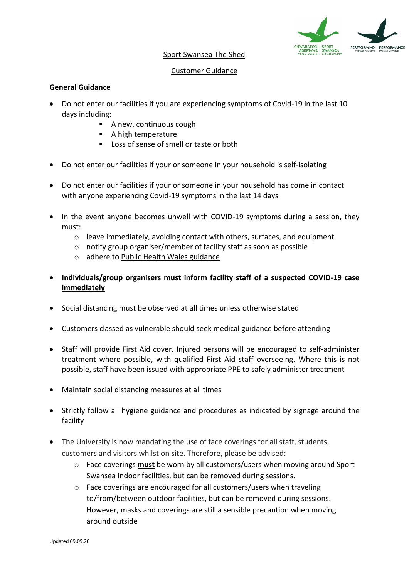

## Sport Swansea The Shed

## Customer Guidance

## **General Guidance**

- Do not enter our facilities if you are experiencing symptoms of Covid-19 in the last 10 days including:
	- A new, continuous cough
	- A high temperature
	- Loss of sense of smell or taste or both
- Do not enter our facilities if your or someone in your household is self-isolating
- Do not enter our facilities if your or someone in your household has come in contact with anyone experiencing Covid-19 symptoms in the last 14 days
- In the event anyone becomes unwell with COVID-19 symptoms during a session, they must:
	- $\circ$  leave immediately, avoiding contact with others, surfaces, and equipment
	- o notify group organiser/member of facility staff as soon as possible
	- o adhere to [Public Health Wales](https://gov.wales/check-if-you-need-coronavirus-medical-help) guidance
- **Individuals/group organisers must inform facility staff of a suspected COVID-19 case immediately**
- Social distancing must be observed at all times unless otherwise stated
- Customers classed as vulnerable should seek medical guidance before attending
- Staff will provide First Aid cover. Injured persons will be encouraged to self-administer treatment where possible, with qualified First Aid staff overseeing. Where this is not possible, staff have been issued with appropriate PPE to safely administer treatment
- Maintain social distancing measures at all times
- Strictly follow all hygiene guidance and procedures as indicated by signage around the facility
- The University is now mandating the use of face coverings for all staff, students, customers and visitors whilst on site. Therefore, please be advised:
	- o Face coverings **must** be worn by all customers/users when moving around Sport Swansea indoor facilities, but can be removed during sessions.
	- o Face coverings are encouraged for all customers/users when traveling to/from/between outdoor facilities, but can be removed during sessions. However, masks and coverings are still a sensible precaution when moving around outside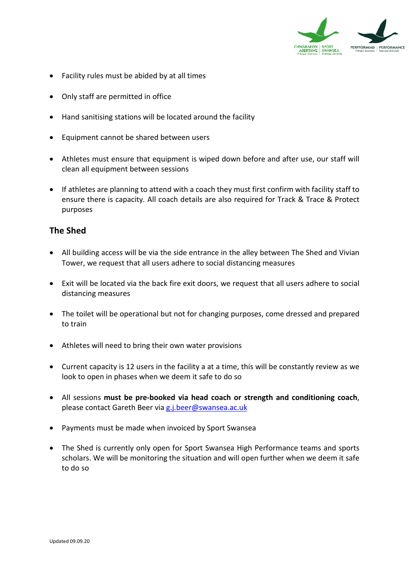

- Facility rules must be abided by at all times
- Only staff are permitted in office
- Hand sanitising stations will be located around the facility
- Equipment cannot be shared between users
- Athletes must ensure that equipment is wiped down before and after use, our staff will clean all equipment between sessions
- If athletes are planning to attend with a coach they must first confirm with facility staff to ensure there is capacity. All coach details are also required for Track & Trace & Protect purposes

## **The Shed**

- All building access will be via the side entrance in the alley between The Shed and Vivian Tower, we request that all users adhere to social distancing measures
- Exit will be located via the back fire exit doors, we request that all users adhere to social distancing measures
- The toilet will be operational but not for changing purposes, come dressed and prepared to train
- Athletes will need to bring their own water provisions
- Current capacity is 12 users in the facility a at a time, this will be constantly review as we look to open in phases when we deem it safe to do so
- All sessions **must be pre-booked via head coach or strength and conditioning coach**, please contact Gareth Beer via [g.j.beer@swansea.ac.uk](mailto:g.j.beer@swansea.ac.uk)
- Payments must be made when invoiced by Sport Swansea
- The Shed is currently only open for Sport Swansea High Performance teams and sports scholars. We will be monitoring the situation and will open further when we deem it safe to do so